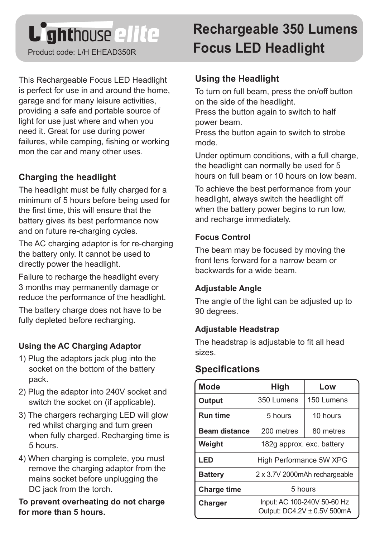# **L'ghthouse ellée**

This Rechargeable Focus LED Headlight is perfect for use in and around the home, garage and for many leisure activities, providing a safe and portable source of light for use just where and when you need it. Great for use during power failures, while camping, fishing or working mon the car and many other uses.

# **Charging the headlight**

The headlight must be fully charged for a minimum of 5 hours before being used for the first time, this will ensure that the battery gives its best performance now and on future re-charging cycles.

The AC charging adaptor is for re-charging the battery only. It cannot be used to directly power the headlight.

Failure to recharge the headlight every 3 months may permanently damage or reduce the performance of the headlight.

The battery charge does not have to be fully depleted before recharging.

## **Using the AC Charging Adaptor**

- 1) Plug the adaptors jack plug into the socket on the bottom of the battery pack.
- 2) Plug the adaptor into 240V socket and switch the socket on (if applicable).
- 3) The chargers recharging LED will glow red whilst charging and turn green when fully charged. Recharging time is 5 hours.
- 4) When charging is complete, you must remove the charging adaptor from the mains socket before unplugging the DC jack from the torch.

**To prevent overheating do not charge for more than 5 hours.** 

# **Rechargeable 350 Lumens** Product code: L/H EHEAD350R **Focus LED Headlight**

#### **Using the Headlight**

To turn on full beam, press the on/off button on the side of the headlight.

Press the button again to switch to half power beam.

Press the button again to switch to strobe mode.

Under optimum conditions, with a full charge, the headlight can normally be used for 5 hours on full beam or 10 hours on low beam.

To achieve the best performance from your headlight, always switch the headlight off when the battery power begins to run low. and recharge immediately.

#### **Focus Control**

The beam may be focused by moving the front lens forward for a narrow beam or backwards for a wide beam.

#### **Adjustable Angle**

The angle of the light can be adjusted up to 90 degrees.

#### **Adjustable Headstrap**

The headstrap is adjustable to fit all head sizes.

## **Specifications**

| <b>Mode</b>          | High                                                       | Low        |
|----------------------|------------------------------------------------------------|------------|
| Output               | 350 Lumens                                                 | 150 Lumens |
| <b>Run time</b>      | 5 hours                                                    | 10 hours   |
| <b>Beam distance</b> | 200 metres                                                 | 80 metres  |
| Weight               | 182g approx. exc. battery                                  |            |
| LED                  | High Performance 5W XPG                                    |            |
| <b>Battery</b>       | 2 x 3.7V 2000mAh rechargeable                              |            |
| <b>Charge time</b>   | 5 hours                                                    |            |
| Charger              | Input: AC 100-240V 50-60 Hz<br>Output: DC4.2V ± 0.5V 500mA |            |